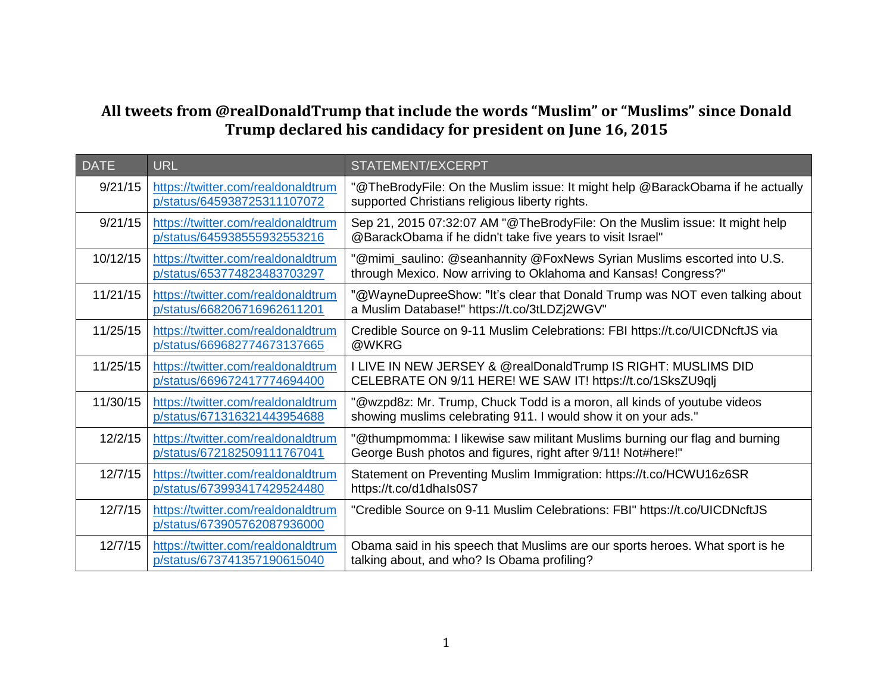## **All tweets from @realDonaldTrump that include the words "Muslim" or "Muslims" since Donald Trump declared his candidacy for president on June 16, 2015**

| <b>DATE</b> | <b>URL</b>                                                        | <b>STATEMENT/EXCERPT</b>                                                                                                                   |
|-------------|-------------------------------------------------------------------|--------------------------------------------------------------------------------------------------------------------------------------------|
| 9/21/15     | https://twitter.com/realdonaldtrum<br>p/status/645938725311107072 | "@TheBrodyFile: On the Muslim issue: It might help @BarackObama if he actually<br>supported Christians religious liberty rights.           |
| 9/21/15     | https://twitter.com/realdonaldtrum<br>p/status/645938555932553216 | Sep 21, 2015 07:32:07 AM "@TheBrodyFile: On the Muslim issue: It might help<br>@BarackObama if he didn't take five years to visit Israel"  |
| 10/12/15    | https://twitter.com/realdonaldtrum<br>p/status/653774823483703297 | "@mimi_saulino: @seanhannity @FoxNews Syrian Muslims escorted into U.S.<br>through Mexico. Now arriving to Oklahoma and Kansas! Congress?" |
| 11/21/15    | https://twitter.com/realdonaldtrum<br>p/status/668206716962611201 | "@WayneDupreeShow: "It's clear that Donald Trump was NOT even talking about<br>a Muslim Database!" https://t.co/3tLDZj2WGV"                |
| 11/25/15    | https://twitter.com/realdonaldtrum<br>p/status/669682774673137665 | Credible Source on 9-11 Muslim Celebrations: FBI https://t.co/UICDNcftJS via<br>@WKRG                                                      |
| 11/25/15    | https://twitter.com/realdonaldtrum<br>p/status/669672417774694400 | I LIVE IN NEW JERSEY & @realDonaldTrump IS RIGHT: MUSLIMS DID<br>CELEBRATE ON 9/11 HERE! WE SAW IT! https://t.co/1SksZU9qlj                |
| 11/30/15    | https://twitter.com/realdonaldtrum<br>p/status/671316321443954688 | "@wzpd8z: Mr. Trump, Chuck Todd is a moron, all kinds of youtube videos<br>showing muslims celebrating 911. I would show it on your ads."  |
| 12/2/15     | https://twitter.com/realdonaldtrum<br>p/status/672182509111767041 | "@thumpmomma: I likewise saw militant Muslims burning our flag and burning<br>George Bush photos and figures, right after 9/11! Not#here!" |
| 12/7/15     | https://twitter.com/realdonaldtrum<br>p/status/673993417429524480 | Statement on Preventing Muslim Immigration: https://t.co/HCWU16z6SR<br>https://t.co/d1dhals0S7                                             |
| 12/7/15     | https://twitter.com/realdonaldtrum<br>p/status/673905762087936000 | "Credible Source on 9-11 Muslim Celebrations: FBI" https://t.co/UICDNcftJS                                                                 |
| 12/7/15     | https://twitter.com/realdonaldtrum<br>p/status/673741357190615040 | Obama said in his speech that Muslims are our sports heroes. What sport is he<br>talking about, and who? Is Obama profiling?               |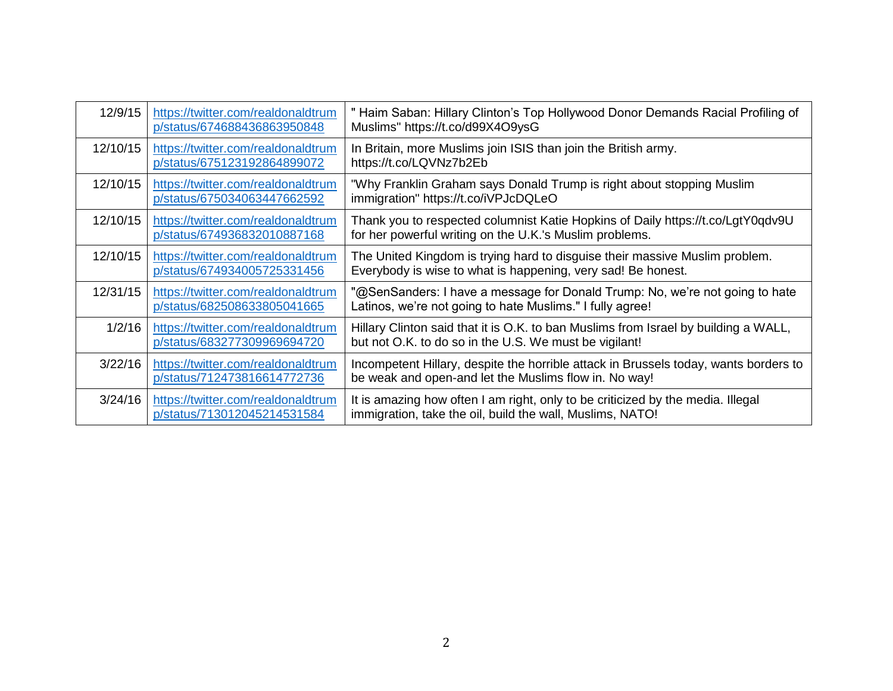| 12/9/15  | https://twitter.com/realdonaldtrum<br>p/status/674688436863950848 | Haim Saban: Hillary Clinton's Top Hollywood Donor Demands Racial Profiling of<br>Muslims" https://t.co/d99X4O9ysG                             |
|----------|-------------------------------------------------------------------|-----------------------------------------------------------------------------------------------------------------------------------------------|
| 12/10/15 | https://twitter.com/realdonaldtrum<br>p/status/675123192864899072 | In Britain, more Muslims join ISIS than join the British army.<br>https://t.co/LQVNz7b2Eb                                                     |
| 12/10/15 | https://twitter.com/realdonaldtrum<br>p/status/675034063447662592 | "Why Franklin Graham says Donald Trump is right about stopping Muslim<br>immigration" https://t.co/iVPJcDQLeO                                 |
| 12/10/15 | https://twitter.com/realdonaldtrum<br>p/status/674936832010887168 | Thank you to respected columnist Katie Hopkins of Daily https://t.co/LgtY0qdv9U<br>for her powerful writing on the U.K.'s Muslim problems.    |
| 12/10/15 | https://twitter.com/realdonaldtrum<br>p/status/674934005725331456 | The United Kingdom is trying hard to disguise their massive Muslim problem.<br>Everybody is wise to what is happening, very sad! Be honest.   |
| 12/31/15 | https://twitter.com/realdonaldtrum<br>p/status/682508633805041665 | "@SenSanders: I have a message for Donald Trump: No, we're not going to hate<br>Latinos, we're not going to hate Muslims." I fully agree!     |
| 1/2/16   | https://twitter.com/realdonaldtrum<br>p/status/683277309969694720 | Hillary Clinton said that it is O.K. to ban Muslims from Israel by building a WALL,<br>but not O.K. to do so in the U.S. We must be vigilant! |
| 3/22/16  | https://twitter.com/realdonaldtrum<br>p/status/712473816614772736 | Incompetent Hillary, despite the horrible attack in Brussels today, wants borders to<br>be weak and open-and let the Muslims flow in. No way! |
| 3/24/16  | https://twitter.com/realdonaldtrum<br>p/status/713012045214531584 | It is amazing how often I am right, only to be criticized by the media. Illegal<br>immigration, take the oil, build the wall, Muslims, NATO!  |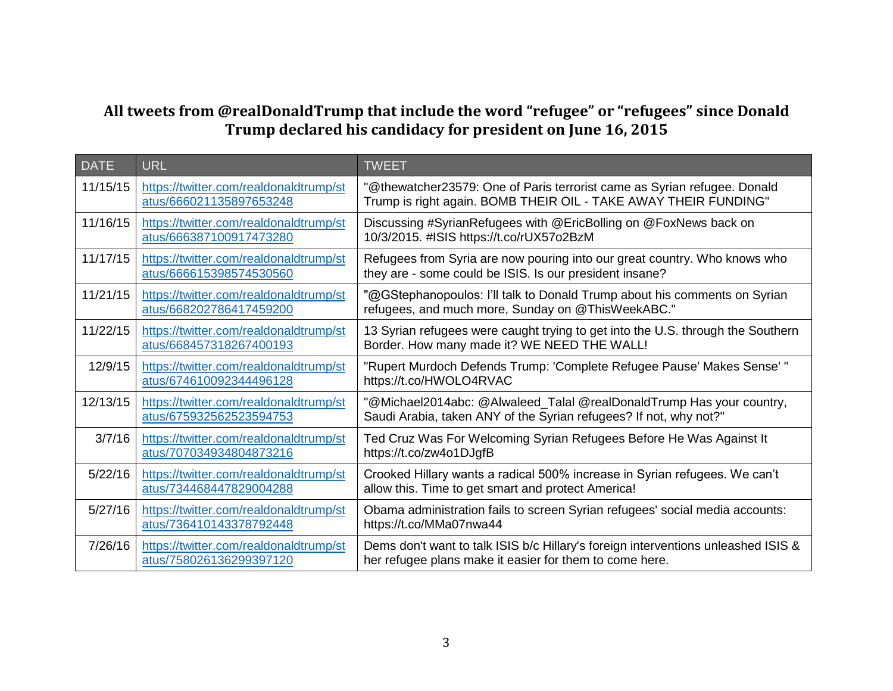## **All tweets from @realDonaldTrump that include the word "refugee" or "refugees" since Donald Trump declared his candidacy for president on June 16, 2015**

| <b>DATE</b> | <b>URL</b>                                                        | <b>TWEET</b>                                                                                                                                 |
|-------------|-------------------------------------------------------------------|----------------------------------------------------------------------------------------------------------------------------------------------|
| 11/15/15    | https://twitter.com/realdonaldtrump/st<br>atus/666021135897653248 | "@thewatcher23579: One of Paris terrorist came as Syrian refugee. Donald<br>Trump is right again. BOMB THEIR OIL - TAKE AWAY THEIR FUNDING"  |
| 11/16/15    | https://twitter.com/realdonaldtrump/st<br>atus/666387100917473280 | Discussing #SyrianRefugees with @EricBolling on @FoxNews back on<br>10/3/2015. #ISIS https://t.co/rUX57o2BzM                                 |
| 11/17/15    | https://twitter.com/realdonaldtrump/st<br>atus/666615398574530560 | Refugees from Syria are now pouring into our great country. Who knows who<br>they are - some could be ISIS. Is our president insane?         |
| 11/21/15    | https://twitter.com/realdonaldtrump/st<br>atus/668202786417459200 | "@GStephanopoulos: I'll talk to Donald Trump about his comments on Syrian<br>refugees, and much more, Sunday on @ThisWeekABC."               |
| 11/22/15    | https://twitter.com/realdonaldtrump/st<br>atus/668457318267400193 | 13 Syrian refugees were caught trying to get into the U.S. through the Southern<br>Border. How many made it? WE NEED THE WALL!               |
| 12/9/15     | https://twitter.com/realdonaldtrump/st<br>atus/674610092344496128 | "Rupert Murdoch Defends Trump: 'Complete Refugee Pause' Makes Sense'"<br>https://t.co/HWOLO4RVAC                                             |
| 12/13/15    | https://twitter.com/realdonaldtrump/st<br>atus/675932562523594753 | "@Michael2014abc: @Alwaleed_Talal @realDonaldTrump Has your country,<br>Saudi Arabia, taken ANY of the Syrian refugees? If not, why not?"    |
| 3/7/16      | https://twitter.com/realdonaldtrump/st<br>atus/707034934804873216 | Ted Cruz Was For Welcoming Syrian Refugees Before He Was Against It<br>https://t.co/zw4o1DJgfB                                               |
| 5/22/16     | https://twitter.com/realdonaldtrump/st<br>atus/734468447829004288 | Crooked Hillary wants a radical 500% increase in Syrian refugees. We can't<br>allow this. Time to get smart and protect America!             |
| 5/27/16     | https://twitter.com/realdonaldtrump/st<br>atus/736410143378792448 | Obama administration fails to screen Syrian refugees' social media accounts:<br>https://t.co/MMa07nwa44                                      |
| 7/26/16     | https://twitter.com/realdonaldtrump/st<br>atus/758026136299397120 | Dems don't want to talk ISIS b/c Hillary's foreign interventions unleashed ISIS &<br>her refugee plans make it easier for them to come here. |